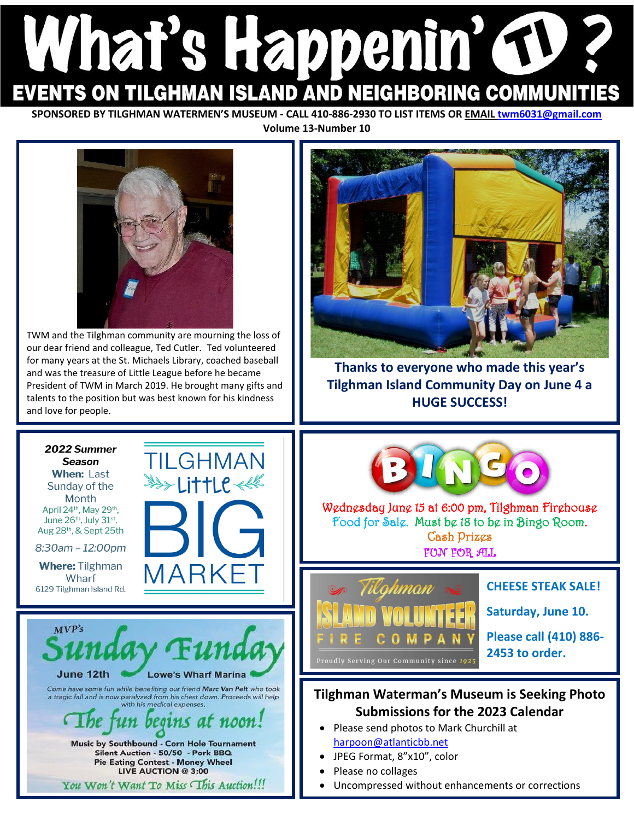# What's Happenin' GD **EVENTS ON TILGHMAN ISLAND AND NEIGHBORING COMMUNITIES**

**SPONSORED BY TILGHMAN WATERMEN'S MUSEUM - CALL 410-886-2930 TO LIST ITEMS OR EMAI[L twm6031@gmail.com](mailto:twm6031@gmail.com) Volume 13-Number 10**